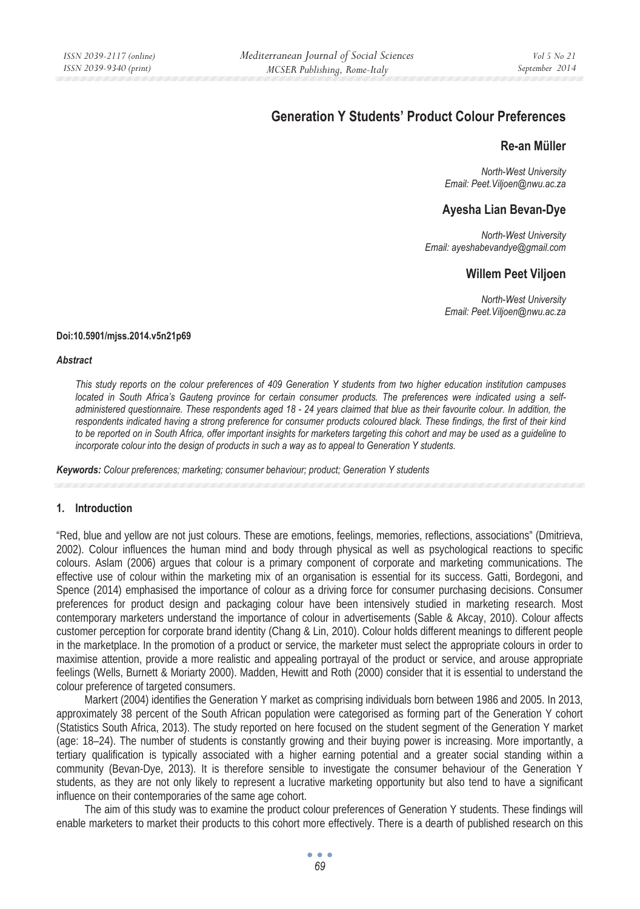# **Generation Y Students' Product Colour Preferences**

# **Re-an Müller**

*North-West University Email: Peet.Viljoen@nwu.ac.za* 

# **Ayesha Lian Bevan-Dye**

*North-West University Email: ayeshabevandye@gmail.com* 

# **Willem Peet Viljoen**

*North-West University Email: Peet.Viljoen@nwu.ac.za* 

#### **Doi:10.5901/mjss.2014.v5n21p69**

#### *Abstract*

*This study reports on the colour preferences of 409 Generation Y students from two higher education institution campuses located in South Africa's Gauteng province for certain consumer products. The preferences were indicated using a selfadministered questionnaire. These respondents aged 18 - 24 years claimed that blue as their favourite colour. In addition, the*  respondents indicated having a strong preference for consumer products coloured black. These findings, the first of their kind *to be reported on in South Africa, offer important insights for marketers targeting this cohort and may be used as a guideline to incorporate colour into the design of products in such a way as to appeal to Generation Y students.* 

*Keywords: Colour preferences; marketing; consumer behaviour; product; Generation Y students*

#### **1. Introduction**

"Red, blue and yellow are not just colours. These are emotions, feelings, memories, reflections, associations" (Dmitrieva, 2002). Colour influences the human mind and body through physical as well as psychological reactions to specific colours. Aslam (2006) argues that colour is a primary component of corporate and marketing communications. The effective use of colour within the marketing mix of an organisation is essential for its success. Gatti, Bordegoni, and Spence (2014) emphasised the importance of colour as a driving force for consumer purchasing decisions. Consumer preferences for product design and packaging colour have been intensively studied in marketing research. Most contemporary marketers understand the importance of colour in advertisements (Sable & Akcay, 2010). Colour affects customer perception for corporate brand identity (Chang & Lin, 2010). Colour holds different meanings to different people in the marketplace. In the promotion of a product or service, the marketer must select the appropriate colours in order to maximise attention, provide a more realistic and appealing portrayal of the product or service, and arouse appropriate feelings (Wells, Burnett & Moriarty 2000). Madden, Hewitt and Roth (2000) consider that it is essential to understand the colour preference of targeted consumers.

Markert (2004) identifies the Generation Y market as comprising individuals born between 1986 and 2005. In 2013, approximately 38 percent of the South African population were categorised as forming part of the Generation Y cohort (Statistics South Africa, 2013). The study reported on here focused on the student segment of the Generation Y market (age: 18–24). The number of students is constantly growing and their buying power is increasing. More importantly, a tertiary qualification is typically associated with a higher earning potential and a greater social standing within a community (Bevan-Dye, 2013). It is therefore sensible to investigate the consumer behaviour of the Generation Y students, as they are not only likely to represent a lucrative marketing opportunity but also tend to have a significant influence on their contemporaries of the same age cohort.

The aim of this study was to examine the product colour preferences of Generation Y students. These findings will enable marketers to market their products to this cohort more effectively. There is a dearth of published research on this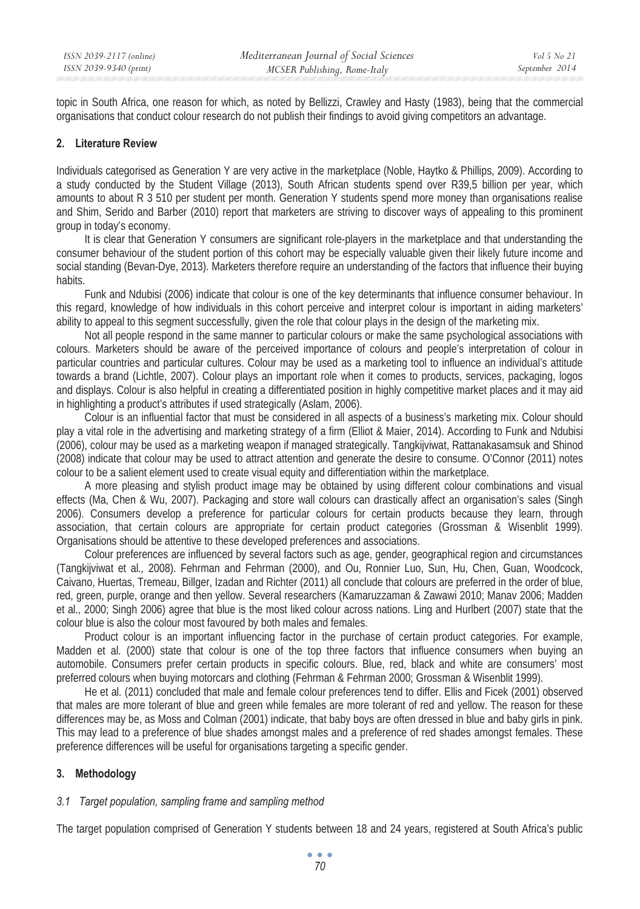topic in South Africa, one reason for which, as noted by Bellizzi, Crawley and Hasty (1983), being that the commercial organisations that conduct colour research do not publish their findings to avoid giving competitors an advantage.

### **2. Literature Review**

Individuals categorised as Generation Y are very active in the marketplace (Noble, Haytko & Phillips, 2009). According to a study conducted by the Student Village (2013), South African students spend over R39,5 billion per year, which amounts to about R 3 510 per student per month. Generation Y students spend more money than organisations realise and Shim, Serido and Barber (2010) report that marketers are striving to discover ways of appealing to this prominent group in today's economy.

It is clear that Generation Y consumers are significant role-players in the marketplace and that understanding the consumer behaviour of the student portion of this cohort may be especially valuable given their likely future income and social standing (Bevan-Dye, 2013). Marketers therefore require an understanding of the factors that influence their buying habits.

Funk and Ndubisi (2006) indicate that colour is one of the key determinants that influence consumer behaviour. In this regard, knowledge of how individuals in this cohort perceive and interpret colour is important in aiding marketers' ability to appeal to this segment successfully, given the role that colour plays in the design of the marketing mix.

Not all people respond in the same manner to particular colours or make the same psychological associations with colours. Marketers should be aware of the perceived importance of colours and people's interpretation of colour in particular countries and particular cultures. Colour may be used as a marketing tool to influence an individual's attitude towards a brand (Lichtle, 2007). Colour plays an important role when it comes to products, services, packaging, logos and displays. Colour is also helpful in creating a differentiated position in highly competitive market places and it may aid in highlighting a product's attributes if used strategically (Aslam, 2006).

Colour is an influential factor that must be considered in all aspects of a business's marketing mix. Colour should play a vital role in the advertising and marketing strategy of a firm (Elliot & Maier, 2014). According to Funk and Ndubisi (2006), colour may be used as a marketing weapon if managed strategically. Tangkijviwat, Rattanakasamsuk and Shinod (2008) indicate that colour may be used to attract attention and generate the desire to consume. O'Connor (2011) notes colour to be a salient element used to create visual equity and differentiation within the marketplace.

A more pleasing and stylish product image may be obtained by using different colour combinations and visual effects (Ma, Chen & Wu, 2007). Packaging and store wall colours can drastically affect an organisation's sales (Singh 2006). Consumers develop a preference for particular colours for certain products because they learn, through association, that certain colours are appropriate for certain product categories (Grossman & Wisenblit 1999). Organisations should be attentive to these developed preferences and associations.

Colour preferences are influenced by several factors such as age, gender, geographical region and circumstances (Tangkijviwat et al*.,* 2008). Fehrman and Fehrman (2000), and Ou, Ronnier Luo, Sun, Hu, Chen, Guan, Woodcock, Caivano, Huertas, Tremeau, Billger, Izadan and Richter (2011) all conclude that colours are preferred in the order of blue, red, green, purple, orange and then yellow. Several researchers (Kamaruzzaman & Zawawi 2010; Manav 2006; Madden et al*.,* 2000; Singh 2006) agree that blue is the most liked colour across nations. Ling and Hurlbert (2007) state that the colour blue is also the colour most favoured by both males and females.

Product colour is an important influencing factor in the purchase of certain product categories. For example, Madden et al*.* (2000) state that colour is one of the top three factors that influence consumers when buying an automobile. Consumers prefer certain products in specific colours. Blue, red, black and white are consumers' most preferred colours when buying motorcars and clothing (Fehrman & Fehrman 2000; Grossman & Wisenblit 1999).

He et al*.* (2011) concluded that male and female colour preferences tend to differ. Ellis and Ficek (2001) observed that males are more tolerant of blue and green while females are more tolerant of red and yellow. The reason for these differences may be, as Moss and Colman (2001) indicate, that baby boys are often dressed in blue and baby girls in pink. This may lead to a preference of blue shades amongst males and a preference of red shades amongst females. These preference differences will be useful for organisations targeting a specific gender.

# **3. Methodology**

# *3.1 Target population, sampling frame and sampling method*

The target population comprised of Generation Y students between 18 and 24 years, registered at South Africa's public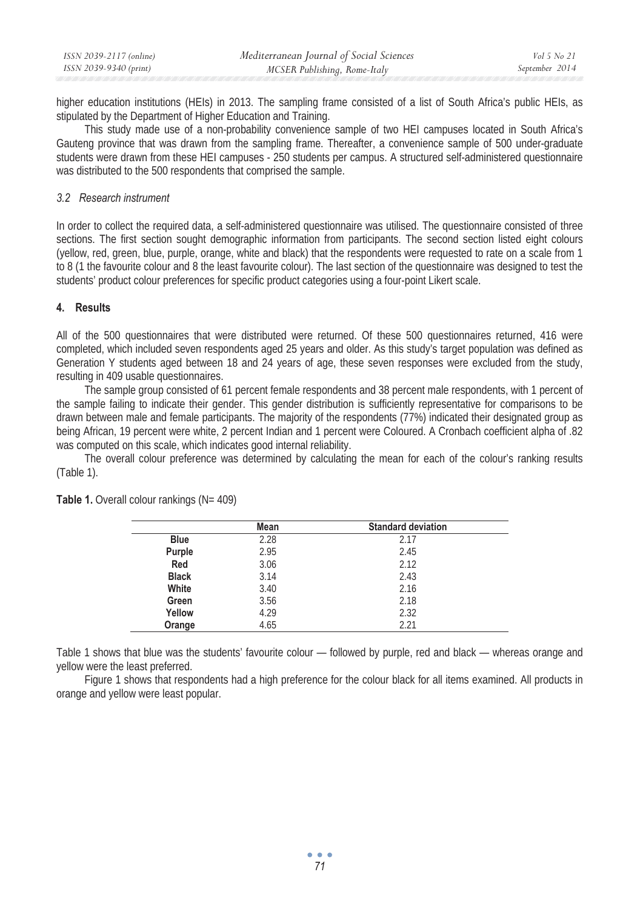| ISSN 2039-2117 (online) | Mediterranean Journal of Social Sciences | Vol 5 No 21    |
|-------------------------|------------------------------------------|----------------|
| ISSN 2039-9340 (print)  | MCSER Publishing, Rome-Italy             | September 2014 |

higher education institutions (HEIs) in 2013. The sampling frame consisted of a list of South Africa's public HEIs, as stipulated by the Department of Higher Education and Training.

This study made use of a non-probability convenience sample of two HEI campuses located in South Africa's Gauteng province that was drawn from the sampling frame. Thereafter, a convenience sample of 500 under-graduate students were drawn from these HEI campuses - 250 students per campus. A structured self-administered questionnaire was distributed to the 500 respondents that comprised the sample.

#### *3.2 Research instrument*

In order to collect the required data, a self-administered questionnaire was utilised. The questionnaire consisted of three sections. The first section sought demographic information from participants. The second section listed eight colours (yellow, red, green, blue, purple, orange, white and black) that the respondents were requested to rate on a scale from 1 to 8 (1 the favourite colour and 8 the least favourite colour). The last section of the questionnaire was designed to test the students' product colour preferences for specific product categories using a four-point Likert scale.

#### **4. Results**

All of the 500 questionnaires that were distributed were returned. Of these 500 questionnaires returned, 416 were completed, which included seven respondents aged 25 years and older. As this study's target population was defined as Generation Y students aged between 18 and 24 years of age, these seven responses were excluded from the study, resulting in 409 usable questionnaires.

The sample group consisted of 61 percent female respondents and 38 percent male respondents, with 1 percent of the sample failing to indicate their gender. This gender distribution is sufficiently representative for comparisons to be drawn between male and female participants. The majority of the respondents (77%) indicated their designated group as being African, 19 percent were white, 2 percent Indian and 1 percent were Coloured. A Cronbach coefficient alpha of .82 was computed on this scale, which indicates good internal reliability.

The overall colour preference was determined by calculating the mean for each of the colour's ranking results (Table 1).

| Mean | <b>Standard deviation</b> |  |
|------|---------------------------|--|
| 2.28 | 2.17                      |  |
| 2.95 | 2.45                      |  |
| 3.06 | 2.12                      |  |
| 3.14 | 2.43                      |  |
| 3.40 | 2.16                      |  |
| 3.56 | 2.18                      |  |
| 4.29 | 2.32                      |  |
| 4.65 | 2.21                      |  |
|      |                           |  |

**Table 1.** Overall colour rankings (N= 409)

Table 1 shows that blue was the students' favourite colour — followed by purple, red and black — whereas orange and yellow were the least preferred.

Figure 1 shows that respondents had a high preference for the colour black for all items examined. All products in orange and yellow were least popular.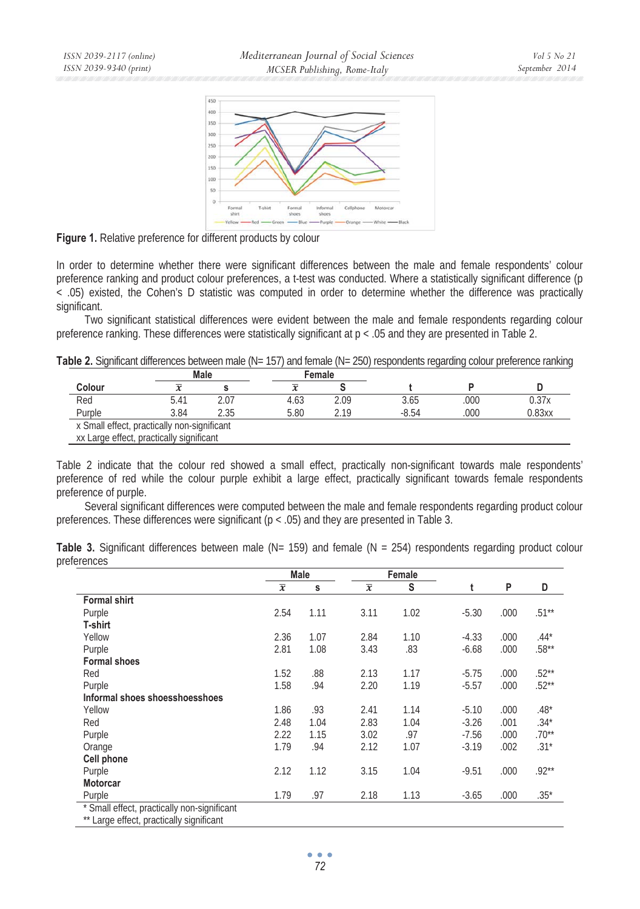

**Figure 1.** Relative preference for different products by colour

In order to determine whether there were significant differences between the male and female respondents' colour preference ranking and product colour preferences, a t-test was conducted. Where a statistically significant difference (p < .05) existed, the Cohen's D statistic was computed in order to determine whether the difference was practically significant.

Two significant statistical differences were evident between the male and female respondents regarding colour preference ranking. These differences were statistically significant at p < .05 and they are presented in Table 2.

| Table 2. Significant differences between male (N= 157) and female (N= 250) respondents regarding colour preference ranking |  |
|----------------------------------------------------------------------------------------------------------------------------|--|
|----------------------------------------------------------------------------------------------------------------------------|--|

|                                             |      | Male | Female |      |         |      |        |
|---------------------------------------------|------|------|--------|------|---------|------|--------|
| Colour                                      |      |      |        |      |         |      |        |
| Red                                         | 5.41 | 2.07 | 4.63   | 2.09 | 3.65    | .000 | 0.37x  |
| Purple                                      | 3.84 | 2.35 | 5.80   | 219  | $-8.54$ | .000 | 0.83xx |
| x Small effect, practically non-significant |      |      |        |      |         |      |        |
| xx Large effect, practically significant    |      |      |        |      |         |      |        |

Table 2 indicate that the colour red showed a small effect, practically non-significant towards male respondents' preference of red while the colour purple exhibit a large effect, practically significant towards female respondents preference of purple.

Several significant differences were computed between the male and female respondents regarding product colour preferences. These differences were significant (p < .05) and they are presented in Table 3.

|             |  |  |  |  |  | Table 3. Significant differences between male ( $N = 159$ ) and female ( $N = 254$ ) respondents regarding product colour |  |  |
|-------------|--|--|--|--|--|---------------------------------------------------------------------------------------------------------------------------|--|--|
| preferences |  |  |  |  |  |                                                                                                                           |  |  |

|                                | Male           |      |                | Female |         |      |          |
|--------------------------------|----------------|------|----------------|--------|---------|------|----------|
|                                | $\overline{x}$ | s    | $\overline{x}$ | S      |         | P    | D        |
| <b>Formal shirt</b>            |                |      |                |        |         |      |          |
| Purple                         | 2.54           | 1.11 | 3.11           | 1.02   | $-5.30$ | .000 | $.51***$ |
| T-shirt                        |                |      |                |        |         |      |          |
| Yellow                         | 2.36           | 1.07 | 2.84           | 1.10   | $-4.33$ | .000 | $.44*$   |
| Purple                         | 2.81           | 1.08 | 3.43           | .83    | $-6.68$ | .000 | $.58***$ |
| <b>Formal shoes</b>            |                |      |                |        |         |      |          |
| Red                            | 1.52           | .88  | 2.13           | 1.17   | $-5.75$ | .000 | $.52***$ |
| Purple                         | 1.58           | .94  | 2.20           | 1.19   | $-5.57$ | .000 | $.52**$  |
| Informal shoes shoesshoesshoes |                |      |                |        |         |      |          |
| Yellow                         | 1.86           | .93  | 2.41           | 1.14   | $-5.10$ | .000 | $.48*$   |
| Red                            | 2.48           | 1.04 | 2.83           | 1.04   | $-3.26$ | .001 | $.34*$   |
| Purple                         | 2.22           | 1.15 | 3.02           | .97    | $-7.56$ | .000 | $.70**$  |
| Orange                         | 1.79           | .94  | 2.12           | 1.07   | $-3.19$ | .002 | $.31*$   |
| Cell phone                     |                |      |                |        |         |      |          |
| Purple                         | 2.12           | 1.12 | 3.15           | 1.04   | $-9.51$ | .000 | $.92**$  |
| <b>Motorcar</b>                |                |      |                |        |         |      |          |
| Purple                         | 1.79           | .97  | 2.18           | 1.13   | $-3.65$ | .000 | $.35*$   |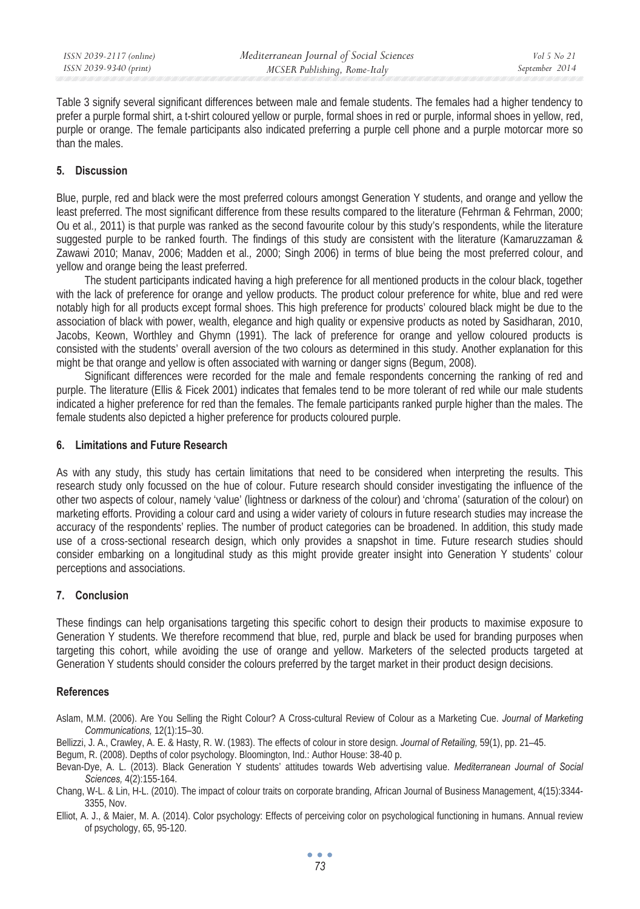Table 3 signify several significant differences between male and female students. The females had a higher tendency to prefer a purple formal shirt, a t-shirt coloured yellow or purple, formal shoes in red or purple, informal shoes in yellow, red, purple or orange. The female participants also indicated preferring a purple cell phone and a purple motorcar more so than the males.

## **5. Discussion**

Blue, purple, red and black were the most preferred colours amongst Generation Y students, and orange and yellow the least preferred. The most significant difference from these results compared to the literature (Fehrman & Fehrman, 2000; Ou et al*.,* 2011) is that purple was ranked as the second favourite colour by this study's respondents, while the literature suggested purple to be ranked fourth. The findings of this study are consistent with the literature (Kamaruzzaman & Zawawi 2010; Manav, 2006; Madden et al*.,* 2000; Singh 2006) in terms of blue being the most preferred colour, and yellow and orange being the least preferred.

The student participants indicated having a high preference for all mentioned products in the colour black, together with the lack of preference for orange and yellow products. The product colour preference for white, blue and red were notably high for all products except formal shoes. This high preference for products' coloured black might be due to the association of black with power, wealth, elegance and high quality or expensive products as noted by Sasidharan, 2010, Jacobs, Keown, Worthley and Ghymn (1991). The lack of preference for orange and yellow coloured products is consisted with the students' overall aversion of the two colours as determined in this study. Another explanation for this might be that orange and yellow is often associated with warning or danger signs (Begum, 2008).

Significant differences were recorded for the male and female respondents concerning the ranking of red and purple. The literature (Ellis & Ficek 2001) indicates that females tend to be more tolerant of red while our male students indicated a higher preference for red than the females. The female participants ranked purple higher than the males. The female students also depicted a higher preference for products coloured purple.

### **6. Limitations and Future Research**

As with any study, this study has certain limitations that need to be considered when interpreting the results. This research study only focussed on the hue of colour. Future research should consider investigating the influence of the other two aspects of colour, namely 'value' (lightness or darkness of the colour) and 'chroma' (saturation of the colour) on marketing efforts. Providing a colour card and using a wider variety of colours in future research studies may increase the accuracy of the respondents' replies. The number of product categories can be broadened. In addition, this study made use of a cross-sectional research design, which only provides a snapshot in time. Future research studies should consider embarking on a longitudinal study as this might provide greater insight into Generation Y students' colour perceptions and associations.

### **7. Conclusion**

These findings can help organisations targeting this specific cohort to design their products to maximise exposure to Generation Y students. We therefore recommend that blue, red, purple and black be used for branding purposes when targeting this cohort, while avoiding the use of orange and yellow. Marketers of the selected products targeted at Generation Y students should consider the colours preferred by the target market in their product design decisions.

### **References**

Aslam, M.M. (2006). Are You Selling the Right Colour? A Cross-cultural Review of Colour as a Marketing Cue. *Journal of Marketing Communications,* 12(1):15–30.

Bellizzi, J. A., Crawley, A. E. & Hasty, R. W. (1983). The effects of colour in store design. *Journal of Retailing,* 59(1), pp. 21–45.

Begum, R. (2008). Depths of color psychology. Bloomington, Ind.: Author House: 38-40 p.

Bevan-Dye, A. L. (2013). Black Generation Y students' attitudes towards Web advertising value. *Mediterranean Journal of Social Sciences,* 4(2):155-164.

Chang, W-L. & Lin, H-L. (2010). The impact of colour traits on corporate branding, African Journal of Business Management, 4(15):3344- 3355, Nov.

Elliot, A. J., & Maier, M. A. (2014). Color psychology: Effects of perceiving color on psychological functioning in humans. Annual review of psychology, 65, 95-120.